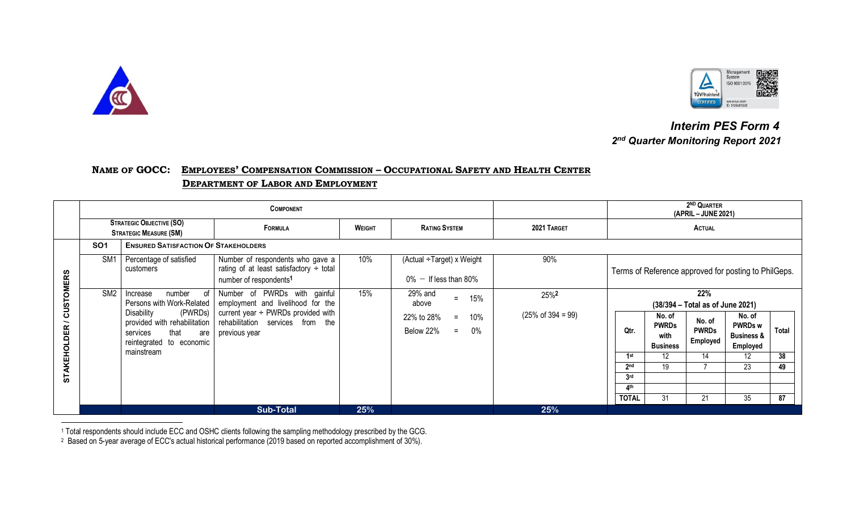

 $\overline{\phantom{a}}$ 



 *Interim PES Form 4 2nd Quarter Monitoring Report 2021*

## **NAME OF GOCC: EMPLOYEES' COMPENSATION COMMISSION – OCCUPATIONAL SAFETY AND HEALTH CENTER DEPARTMENT OF LABOR AND EMPLOYMENT**

|                                        |                                                                  |                                                                                                                                                                         |                                                                                                                                                                           | 2 <sup>ND</sup> QUARTER<br>(APRIL – JUNE 2021) |                                                                                      |                                                   |                                                                                                                                                                                                                                                                                          |    |    |    |    |
|----------------------------------------|------------------------------------------------------------------|-------------------------------------------------------------------------------------------------------------------------------------------------------------------------|---------------------------------------------------------------------------------------------------------------------------------------------------------------------------|------------------------------------------------|--------------------------------------------------------------------------------------|---------------------------------------------------|------------------------------------------------------------------------------------------------------------------------------------------------------------------------------------------------------------------------------------------------------------------------------------------|----|----|----|----|
|                                        | <b>STRATEGIC OBJECTIVE (SO)</b><br><b>STRATEGIC MEASURE (SM)</b> |                                                                                                                                                                         | FORMULA                                                                                                                                                                   | WEIGHT                                         | <b>RATING SYSTEM</b>                                                                 | 2021 TARGET                                       | <b>ACTUAL</b>                                                                                                                                                                                                                                                                            |    |    |    |    |
|                                        | <b>SO1</b>                                                       | <b>ENSURED SATISFACTION OF STAKEHOLDERS</b>                                                                                                                             |                                                                                                                                                                           |                                                |                                                                                      |                                                   |                                                                                                                                                                                                                                                                                          |    |    |    |    |
| <b>CUSTOMERS</b><br><b>STAKEHOLDER</b> | SM <sub>1</sub>                                                  | Percentage of satisfied<br>customers                                                                                                                                    | Number of respondents who gave a<br>rating of at least satisfactory $\div$ total<br>number of respondents <sup>1</sup>                                                    | 10%                                            | (Actual ÷Target) x Weight<br>$0\%$ - If less than 80%                                | 90%                                               | Terms of Reference approved for posting to PhilGeps.                                                                                                                                                                                                                                     |    |    |    |    |
|                                        | SM <sub>2</sub>                                                  | number of<br>Increase<br>Persons with Work-Related  <br>Disability<br>provided with rehabilitation<br>that<br>services<br>are<br>reintegrated to economic<br>mainstream | Number of PWRDs with gainful<br>employment and livelihood for the<br>(PWRDs) current year $\div$ PWRDs provided with<br>rehabilitation services from the<br>previous year | 15%                                            | 29% and<br>15%<br>$=$<br>above<br>22% to 28%<br>10%<br>$=$<br>Below 22%<br>0%<br>$=$ | 25% <sup>2</sup><br>$(25\% \text{ of } 394 = 99)$ | 22%<br>(38/394 - Total as of June 2021)<br>No. of<br>No. of<br>No. of<br><b>PWRDs</b><br><b>PWRDs w</b><br>Qtr.<br><b>PWRDs</b><br>Total<br><b>Business &amp;</b><br>with<br>Employed<br><b>Business</b><br>Employed<br>14<br>12<br>38<br>1st<br>12<br>23<br>2 <sub>nd</sub><br>19<br>49 |    |    |    |    |
|                                        |                                                                  |                                                                                                                                                                         |                                                                                                                                                                           |                                                |                                                                                      |                                                   | 3 <sub>rd</sub><br>4 <sup>th</sup><br><b>TOTAL</b>                                                                                                                                                                                                                                       | 31 | 21 | 35 | 87 |
|                                        |                                                                  |                                                                                                                                                                         | <b>Sub-Total</b>                                                                                                                                                          | 25%                                            |                                                                                      | 25%                                               |                                                                                                                                                                                                                                                                                          |    |    |    |    |

<sup>1</sup> Total respondents should include ECC and OSHC clients following the sampling methodology prescribed by the GCG.

<sup>2</sup> Based on 5-year average of ECC's actual historical performance (2019 based on reported accomplishment of 30%).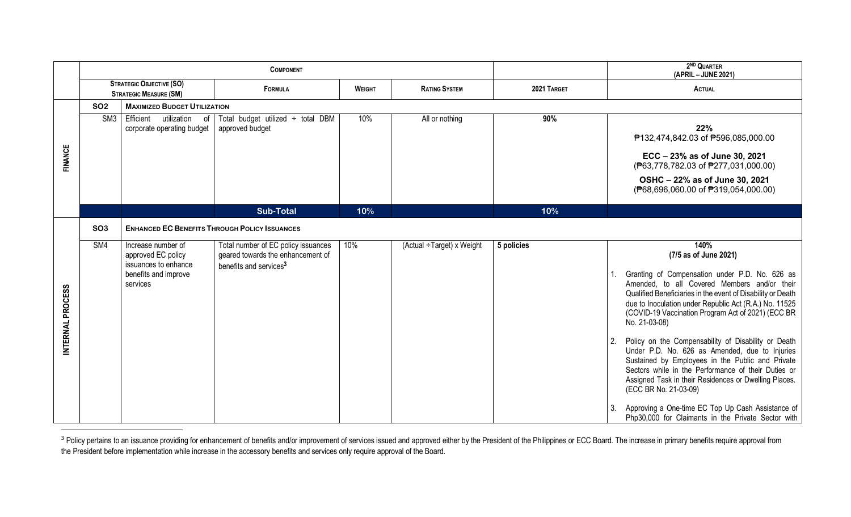|                  |                                                                  |                                                                  | <b>COMPONENT</b>                                                                                               |               | 2 <sup>ND</sup> QUARTER<br>(APRIL - JUNE 2021) |             |                                                                                                                                                                                                                                                                                                          |  |  |  |  |  |  |
|------------------|------------------------------------------------------------------|------------------------------------------------------------------|----------------------------------------------------------------------------------------------------------------|---------------|------------------------------------------------|-------------|----------------------------------------------------------------------------------------------------------------------------------------------------------------------------------------------------------------------------------------------------------------------------------------------------------|--|--|--|--|--|--|
|                  | <b>STRATEGIC OBJECTIVE (SO)</b><br><b>STRATEGIC MEASURE (SM)</b> |                                                                  | FORMULA                                                                                                        | <b>WEIGHT</b> | <b>RATING SYSTEM</b>                           | 2021 TARGET | <b>ACTUAL</b>                                                                                                                                                                                                                                                                                            |  |  |  |  |  |  |
|                  | <b>SO2</b>                                                       | <b>MAXIMIZED BUDGET UTILIZATION</b>                              |                                                                                                                |               |                                                |             |                                                                                                                                                                                                                                                                                                          |  |  |  |  |  |  |
|                  | SM <sub>3</sub>                                                  | Efficient<br>utilization<br>οf<br>corporate operating budget     | Total budget utilized $\div$ total DBM<br>approved budget                                                      | 10%           | All or nothing                                 | 90%         | 22%<br>₱132,474,842.03 of ₱596,085,000.00                                                                                                                                                                                                                                                                |  |  |  |  |  |  |
| <b>FINANCE</b>   |                                                                  |                                                                  |                                                                                                                |               |                                                |             | ECC - 23% as of June 30, 2021<br>(P63,778,782.03 of P277,031,000.00)                                                                                                                                                                                                                                     |  |  |  |  |  |  |
|                  |                                                                  |                                                                  |                                                                                                                |               |                                                |             | OSHC - 22% as of June 30, 2021<br>(P68,696,060.00 of P319,054,000.00)                                                                                                                                                                                                                                    |  |  |  |  |  |  |
|                  |                                                                  |                                                                  | <b>Sub-Total</b>                                                                                               | 10%           |                                                | 10%         |                                                                                                                                                                                                                                                                                                          |  |  |  |  |  |  |
|                  | SO <sub>3</sub>                                                  | <b>ENHANCED EC BENEFITS THROUGH POLICY ISSUANCES</b>             |                                                                                                                |               |                                                |             |                                                                                                                                                                                                                                                                                                          |  |  |  |  |  |  |
|                  | SM4                                                              | Increase number of<br>approved EC policy<br>issuances to enhance | Total number of EC policy issuances<br>geared towards the enhancement of<br>benefits and services <sup>3</sup> | 10%           | (Actual ÷Target) x Weight                      | 5 policies  | 140%<br>(7/5 as of June 2021)                                                                                                                                                                                                                                                                            |  |  |  |  |  |  |
| INTERNAL PROCESS |                                                                  | benefits and improve<br>services                                 |                                                                                                                |               |                                                |             | Granting of Compensation under P.D. No. 626 as<br>Amended, to all Covered Members and/or their<br>Qualified Beneficiaries in the event of Disability or Death<br>due to Inoculation under Republic Act (R.A.) No. 11525<br>(COVID-19 Vaccination Program Act of 2021) (ECC BR<br>No. 21-03-08)           |  |  |  |  |  |  |
|                  |                                                                  |                                                                  |                                                                                                                |               |                                                |             | Policy on the Compensability of Disability or Death<br>2.<br>Under P.D. No. 626 as Amended, due to Injuries<br>Sustained by Employees in the Public and Private<br>Sectors while in the Performance of their Duties or<br>Assigned Task in their Residences or Dwelling Places.<br>(ECC BR No. 21-03-09) |  |  |  |  |  |  |
|                  |                                                                  |                                                                  |                                                                                                                |               |                                                |             | Approving a One-time EC Top Up Cash Assistance of<br>Php30,000 for Claimants in the Private Sector with                                                                                                                                                                                                  |  |  |  |  |  |  |

a Policy pertains to an issuance providing for enhancement of benefits and/or improvement of services issued and approved either by the President of the Philippines or ECC Board. The increase in primary benefits require ap the President before implementation while increase in the accessory benefits and services only require approval of the Board.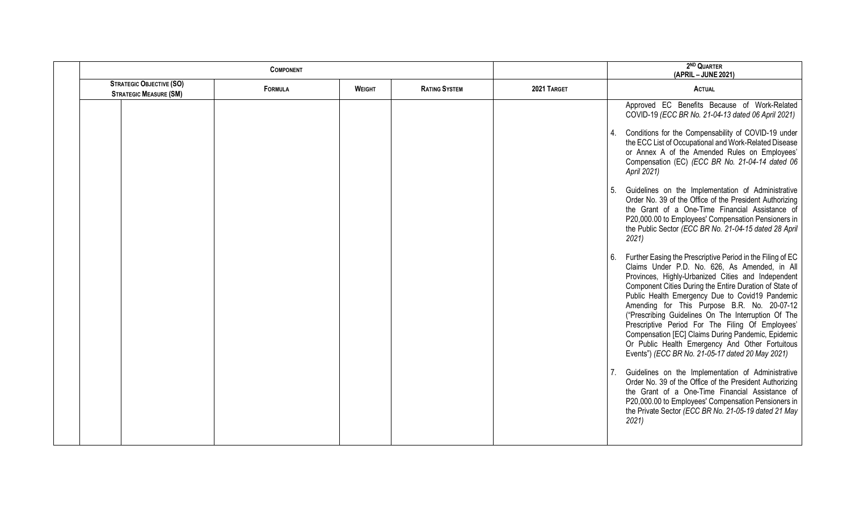|                                                                             | <b>COMPONENT</b> |               |                      |             | 2 <sup>ND</sup> QUARTER<br>(APRIL - JUNE 2021)                                                                                                                                                                                                                                                                                                                                                                                                                                                                                                                                                               |
|-----------------------------------------------------------------------------|------------------|---------------|----------------------|-------------|--------------------------------------------------------------------------------------------------------------------------------------------------------------------------------------------------------------------------------------------------------------------------------------------------------------------------------------------------------------------------------------------------------------------------------------------------------------------------------------------------------------------------------------------------------------------------------------------------------------|
| <b>STRATEGIC OBJECTIVE (SO)</b><br>FORMULA<br><b>STRATEGIC MEASURE (SM)</b> |                  | <b>WEIGHT</b> | <b>RATING SYSTEM</b> | 2021 TARGET | <b>ACTUAL</b>                                                                                                                                                                                                                                                                                                                                                                                                                                                                                                                                                                                                |
|                                                                             |                  |               |                      |             | Approved EC Benefits Because of Work-Related<br>COVID-19 (ECC BR No. 21-04-13 dated 06 April 2021)                                                                                                                                                                                                                                                                                                                                                                                                                                                                                                           |
|                                                                             |                  |               |                      |             | Conditions for the Compensability of COVID-19 under<br>4.<br>the ECC List of Occupational and Work-Related Disease<br>or Annex A of the Amended Rules on Employees'<br>Compensation (EC) (ECC BR No. 21-04-14 dated 06<br>April 2021)                                                                                                                                                                                                                                                                                                                                                                        |
|                                                                             |                  |               |                      |             | Guidelines on the Implementation of Administrative<br>Order No. 39 of the Office of the President Authorizing<br>the Grant of a One-Time Financial Assistance of<br>P20,000.00 to Employees' Compensation Pensioners in<br>the Public Sector (ECC BR No. 21-04-15 dated 28 April<br>2021                                                                                                                                                                                                                                                                                                                     |
|                                                                             |                  |               |                      |             | 6.<br>Further Easing the Prescriptive Period in the Filing of EC<br>Claims Under P.D. No. 626, As Amended, in All<br>Provinces, Highly-Urbanized Cities and Independent<br>Component Cities During the Entire Duration of State of<br>Public Health Emergency Due to Covid19 Pandemic<br>Amending for This Purpose B.R. No. 20-07-12<br>("Prescribing Guidelines On The Interruption Of The<br>Prescriptive Period For The Filing Of Employees'<br>Compensation [EC] Claims During Pandemic, Epidemic<br>Or Public Health Emergency And Other Fortuitous<br>Events") (ECC BR No. 21-05-17 dated 20 May 2021) |
|                                                                             |                  |               |                      |             | Guidelines on the Implementation of Administrative<br>Order No. 39 of the Office of the President Authorizing<br>the Grant of a One-Time Financial Assistance of<br>P20,000.00 to Employees' Compensation Pensioners in<br>the Private Sector (ECC BR No. 21-05-19 dated 21 May<br>2021                                                                                                                                                                                                                                                                                                                      |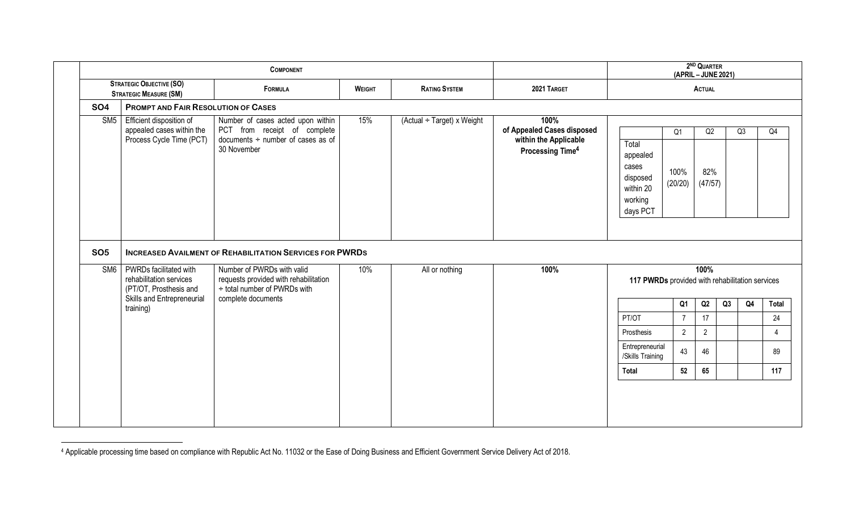|                                                                  |                                                                                   | <b>COMPONENT</b>                                                                                                                                                       |               | 2ND QUARTER<br>(APRIL - JUNE 2021) |                                                                                             |                                                                            |                                   |                      |    |    |  |  |  |
|------------------------------------------------------------------|-----------------------------------------------------------------------------------|------------------------------------------------------------------------------------------------------------------------------------------------------------------------|---------------|------------------------------------|---------------------------------------------------------------------------------------------|----------------------------------------------------------------------------|-----------------------------------|----------------------|----|----|--|--|--|
| <b>STRATEGIC OBJECTIVE (SO)</b><br><b>STRATEGIC MEASURE (SM)</b> |                                                                                   | FORMULA                                                                                                                                                                | <b>WEIGHT</b> | <b>RATING SYSTEM</b>               | 2021 TARGET                                                                                 |                                                                            |                                   | <b>ACTUAL</b>        |    |    |  |  |  |
| <b>SO4</b>                                                       | <b>PROMPT AND FAIR RESOLUTION OF CASES</b>                                        |                                                                                                                                                                        |               |                                    |                                                                                             |                                                                            |                                   |                      |    |    |  |  |  |
| SM <sub>5</sub>                                                  | Efficient disposition of<br>appealed cases within the<br>Process Cycle Time (PCT) | Number of cases acted upon within<br>PCT from receipt of complete<br>documents $\div$ number of cases as of<br>30 November                                             | 15%           | (Actual ÷ Target) x Weight         | 100%<br>of Appealed Cases disposed<br>within the Applicable<br>Processing Time <sup>4</sup> | Total<br>appealed<br>cases<br>disposed<br>within 20<br>working<br>days PCT | Q <sub>1</sub><br>100%<br>(20/20) | Q2<br>82%<br>(47/57) |    | Q3 |  |  |  |
| <b>SO5</b><br>SM6                                                | PWRDs facilitated with<br>rehabilitation services<br>(PT/OT, Prosthesis and       | <b>INCREASED AVAILMENT OF REHABILITATION SERVICES FOR PWRDS</b><br>Number of PWRDs with valid<br>requests provided with rehabilitation<br>÷ total number of PWRDs with | 10%           | All or nothing                     | 100%                                                                                        | 117 PWRDs provided with rehabilitation services                            |                                   | 100%                 |    |    |  |  |  |
|                                                                  | Skills and Entrepreneurial<br>training)                                           | complete documents                                                                                                                                                     |               |                                    |                                                                                             |                                                                            | Q1                                | Q2                   | Q3 | Q4 |  |  |  |
|                                                                  |                                                                                   |                                                                                                                                                                        |               |                                    |                                                                                             | PT/OT                                                                      | $\overline{7}$                    | 17                   |    |    |  |  |  |
|                                                                  |                                                                                   |                                                                                                                                                                        |               |                                    |                                                                                             | Prosthesis                                                                 | $\overline{2}$                    | $\overline{2}$       |    |    |  |  |  |
|                                                                  |                                                                                   |                                                                                                                                                                        |               |                                    |                                                                                             | Entrepreneurial<br>/Skills Training                                        | 43                                | 46                   |    |    |  |  |  |
|                                                                  |                                                                                   |                                                                                                                                                                        |               |                                    |                                                                                             | Total                                                                      | 52                                | 65                   |    |    |  |  |  |
|                                                                  |                                                                                   |                                                                                                                                                                        |               |                                    |                                                                                             |                                                                            |                                   |                      |    |    |  |  |  |

l <sup>4</sup> Applicable processing time based on compliance with Republic Act No. 11032 or the Ease of Doing Business and Efficient Government Service Delivery Act of 2018.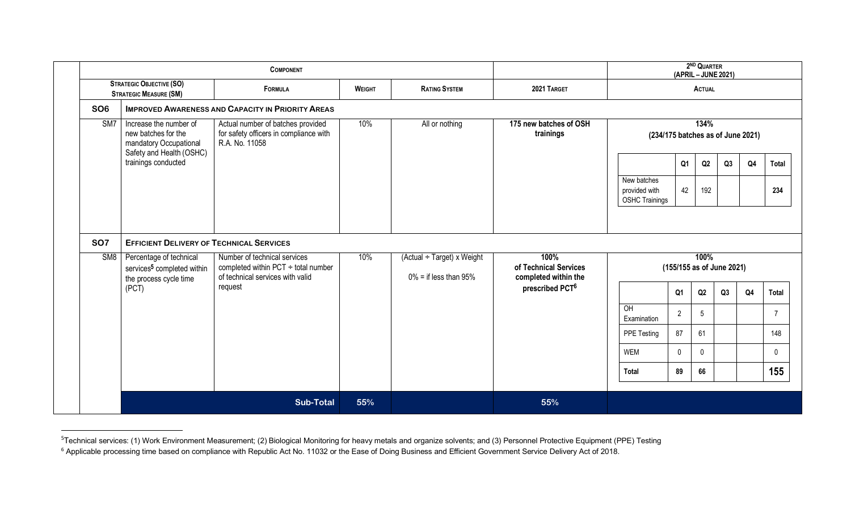|                               |                                                                                                                      | <b>COMPONENT</b>                                                                              |               | 2 <sup>ND</sup> QUARTER<br>(APRIL - JUNE 2021) |                                                     |                                                       |                |                                   |    |                |                |  |
|-------------------------------|----------------------------------------------------------------------------------------------------------------------|-----------------------------------------------------------------------------------------------|---------------|------------------------------------------------|-----------------------------------------------------|-------------------------------------------------------|----------------|-----------------------------------|----|----------------|----------------|--|
|                               | <b>STRATEGIC OBJECTIVE (SO)</b><br><b>STRATEGIC MEASURE (SM)</b>                                                     | FORMULA                                                                                       | <b>WEIGHT</b> | 2021 TARGET                                    | ACTUAL                                              |                                                       |                |                                   |    |                |                |  |
| SO <sub>6</sub>               |                                                                                                                      | <b>IMPROVED AWARENESS AND CAPACITY IN PRIORITY AREAS</b>                                      |               |                                                |                                                     |                                                       |                |                                   |    |                |                |  |
| SM7                           | Increase the number of<br>new batches for the<br>mandatory Occupational<br>Safety and Health (OSHC)                  | Actual number of batches provided<br>for safety officers in compliance with<br>R.A. No. 11058 | 10%           | All or nothing                                 | 175 new batches of OSH<br>trainings                 | 134%<br>(234/175 batches as of June 2021)             |                |                                   |    |                |                |  |
|                               | trainings conducted                                                                                                  |                                                                                               |               |                                                |                                                     |                                                       | Q <sub>1</sub> | Q2                                | Q3 | Q4             | Total          |  |
|                               |                                                                                                                      |                                                                                               |               |                                                |                                                     | New batches<br>provided with<br><b>OSHC Trainings</b> | 42             | 192                               |    |                | 234            |  |
| <b>SO7</b><br>SM <sub>8</sub> | <b>EFFICIENT DELIVERY OF TECHNICAL SERVICES</b><br>Percentage of technical<br>services <sup>5</sup> completed within | Number of technical services<br>completed within PCT $\div$ total number                      | 10%           | (Actual ÷ Target) x Weight                     | 100%<br>of Technical Services                       |                                                       |                | 100%<br>(155/155 as of June 2021) |    |                |                |  |
|                               | the process cycle time<br>(PCT)                                                                                      | of technical services with valid<br>request                                                   |               | $0\%$ = if less than 95%                       | completed within the<br>prescribed PCT <sup>6</sup> |                                                       | Q1             | Q2                                | Q3 | Q <sub>4</sub> | <b>Total</b>   |  |
|                               |                                                                                                                      |                                                                                               |               |                                                |                                                     | OH<br>Examination                                     | $\overline{2}$ | 5                                 |    |                | $\overline{7}$ |  |
|                               |                                                                                                                      |                                                                                               |               |                                                |                                                     | PPE Testing                                           | 87             | 61                                |    |                | 148            |  |
|                               |                                                                                                                      |                                                                                               |               |                                                |                                                     | <b>WEM</b>                                            | $\mathbf 0$    | $\mathbf{0}$                      |    |                | $\mathbf 0$    |  |
|                               |                                                                                                                      |                                                                                               |               |                                                |                                                     | <b>Total</b>                                          | 89             | 66                                |    |                | 155            |  |
|                               |                                                                                                                      | <b>Sub-Total</b>                                                                              | 55%           |                                                | 55%                                                 |                                                       |                |                                   |    |                |                |  |

<sup>-&</sup>lt;br>5 <sup>5</sup>Technical services: (1) Work Environment Measurement; (2) Biological Monitoring for heavy metals and organize solvents; and (3) Personnel Protective Equipment (PPE) Testing

<sup>&</sup>lt;sup>6</sup> Applicable processing time based on compliance with Republic Act No. 11032 or the Ease of Doing Business and Efficient Government Service Delivery Act of 2018.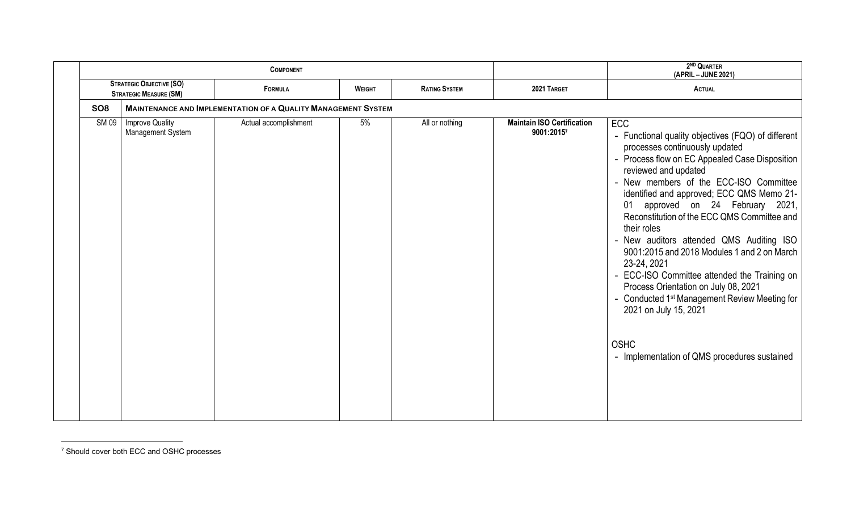|             |                                                                  | <b>COMPONENT</b>                                                     |               | 2ND QUARTER<br>(APRIL - JUNE 2021) |                                                 |                                                                                                                                                                                                                                                                                                                                                                                                                                                                                                                                                                                                                                                                                                                          |
|-------------|------------------------------------------------------------------|----------------------------------------------------------------------|---------------|------------------------------------|-------------------------------------------------|--------------------------------------------------------------------------------------------------------------------------------------------------------------------------------------------------------------------------------------------------------------------------------------------------------------------------------------------------------------------------------------------------------------------------------------------------------------------------------------------------------------------------------------------------------------------------------------------------------------------------------------------------------------------------------------------------------------------------|
|             | <b>STRATEGIC OBJECTIVE (SO)</b><br><b>STRATEGIC MEASURE (SM)</b> | FORMULA                                                              | <b>WEIGHT</b> | <b>RATING SYSTEM</b>               | 2021 TARGET                                     | <b>ACTUAL</b>                                                                                                                                                                                                                                                                                                                                                                                                                                                                                                                                                                                                                                                                                                            |
| <b>SO8</b>  |                                                                  | <b>MAINTENANCE AND IMPLEMENTATION OF A QUALITY MANAGEMENT SYSTEM</b> |               |                                    |                                                 |                                                                                                                                                                                                                                                                                                                                                                                                                                                                                                                                                                                                                                                                                                                          |
| <b>SM09</b> | <b>Improve Quality</b><br>Management System                      | Actual accomplishment                                                | 5%            | All or nothing                     | <b>Maintain ISO Certification</b><br>9001:20157 | ECC<br>- Functional quality objectives (FQO) of different<br>processes continuously updated<br>- Process flow on EC Appealed Case Disposition<br>reviewed and updated<br>- New members of the ECC-ISO Committee<br>identified and approved; ECC QMS Memo 21-<br>approved on 24 February 2021,<br>01<br>Reconstitution of the ECC QMS Committee and<br>their roles<br>- New auditors attended QMS Auditing ISO<br>9001:2015 and 2018 Modules 1 and 2 on March<br>23-24, 2021<br>- ECC-ISO Committee attended the Training on<br>Process Orientation on July 08, 2021<br>- Conducted 1 <sup>st</sup> Management Review Meeting for<br>2021 on July 15, 2021<br><b>OSHC</b><br>- Implementation of QMS procedures sustained |

 <sup>7</sup> Should cover both ECC and OSHC processes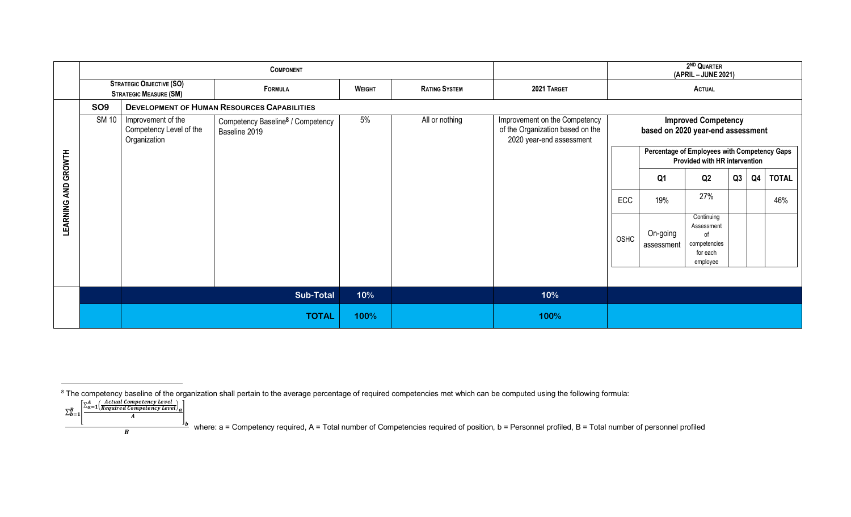|                            |                                                                  |                                                               | <b>COMPONENT</b>                                               |               |                      | 2ND QUARTER<br>(APRIL - JUNE 2021)                                                            |                                                                 |                                                                               |                                                                        |    |                |              |  |
|----------------------------|------------------------------------------------------------------|---------------------------------------------------------------|----------------------------------------------------------------|---------------|----------------------|-----------------------------------------------------------------------------------------------|-----------------------------------------------------------------|-------------------------------------------------------------------------------|------------------------------------------------------------------------|----|----------------|--------------|--|
|                            | <b>STRATEGIC OBJECTIVE (SO)</b><br><b>STRATEGIC MEASURE (SM)</b> |                                                               | FORMULA                                                        | <b>WEIGHT</b> | <b>RATING SYSTEM</b> | 2021 TARGET                                                                                   | <b>ACTUAL</b>                                                   |                                                                               |                                                                        |    |                |              |  |
|                            | SO <sub>9</sub>                                                  |                                                               | <b>DEVELOPMENT OF HUMAN RESOURCES CAPABILITIES</b>             |               |                      |                                                                                               |                                                                 |                                                                               |                                                                        |    |                |              |  |
|                            | <b>SM 10</b>                                                     | Improvement of the<br>Competency Level of the<br>Organization | Competency Baseline <sup>8</sup> / Competency<br>Baseline 2019 | 5%            | All or nothing       | Improvement on the Competency<br>of the Organization based on the<br>2020 year-end assessment | <b>Improved Competency</b><br>based on 2020 year-end assessment |                                                                               |                                                                        |    |                |              |  |
|                            |                                                                  |                                                               |                                                                |               |                      |                                                                                               |                                                                 | Percentage of Employees with Competency Gaps<br>Provided with HR intervention |                                                                        |    |                |              |  |
|                            |                                                                  |                                                               |                                                                |               |                      |                                                                                               |                                                                 | Q <sub>1</sub>                                                                | Q2                                                                     | Q3 | Q <sub>4</sub> | <b>TOTAL</b> |  |
|                            |                                                                  |                                                               |                                                                |               |                      |                                                                                               | ECC                                                             | 19%                                                                           | 27%                                                                    |    |                | 46%          |  |
| <b>LEARNING AND GROWTH</b> |                                                                  |                                                               |                                                                |               |                      |                                                                                               | OSHC                                                            | On-going<br>assessment                                                        | Continuing<br>Assessment<br>of<br>competencies<br>for each<br>employee |    |                |              |  |
|                            |                                                                  |                                                               |                                                                |               |                      |                                                                                               |                                                                 |                                                                               |                                                                        |    |                |              |  |
|                            |                                                                  |                                                               | <b>Sub-Total</b>                                               | 10%           |                      | 10%                                                                                           |                                                                 |                                                                               |                                                                        |    |                |              |  |
|                            |                                                                  |                                                               | <b>TOTAL</b>                                                   | 100%          |                      | 100%                                                                                          |                                                                 |                                                                               |                                                                        |    |                |              |  |

**B** where: a = Competency required, A = Total number of Competencies required of position, b = Personnel profiled, B = Total number of personnel profiled **B** 

extinations of the organization shall pertain to the average percentage of required competencies met which can be computed using the following formula:<br><sup>8</sup> The competency baseline of the organization shall pertain to the a

 $\sum_{b=1}^B$  $\ _{B=\left[}\frac{\sum_{a=1}^{A} \left( \frac{Actual \: Competency \: Level}{Required \: Competency \: Level}\right)_{a}}{A}\right]$  $\frac{\mathbf{I}_b}{\mathbf{b}}$